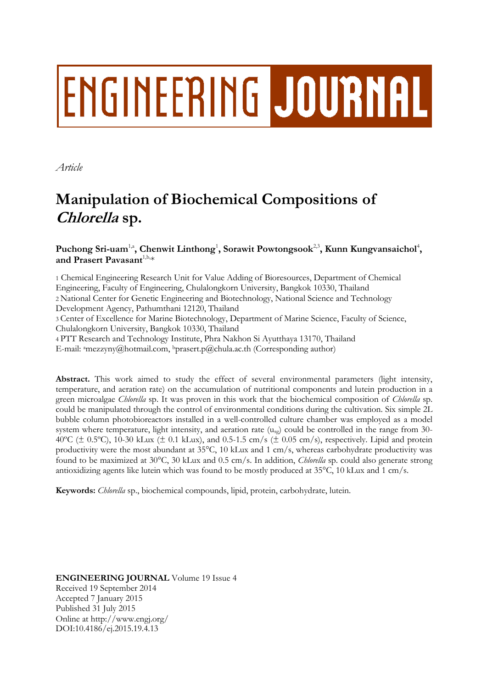# **ENGINEERING JOURNAL**

*Article*

# **Manipulation of Biochemical Compositions of Chlorella sp.**

Puchong Sri-uam<sup>1,a</sup>, Chenwit Linthong<sup>1</sup>, Sorawit Powtongsook<sup>2,3</sup>, [Kunn Kungvansaichol](http://www.sciencedirect.com/science?_ob=RedirectURL&_method=outwardLink&_partnerName=27983&_origin=article&_zone=art_page&_linkType=scopusAuthorDocuments&_targetURL=http%3A%2F%2Fwww.scopus.com%2Fscopus%2Finward%2Fauthor.url%3FpartnerID%3D10%26rel%3D3.0.0%26sortField%3Dcited%26sortOrder%3Dasc%26author%3DKungvansaichol,%2520Kunn%26authorID%3D48461695700%26md5%3D3a614c701c9930c407bf2d2031fc6480&_acct=C000030318&_version=1&_userid=591295&md5=31cf97badd6c0910c9eef146ada0e0cb)<sup>4</sup>, and Prasert Pavasant<sup>1,b,\*</sup>

1 Chemical Engineering Research Unit for Value Adding of Bioresources, Department of Chemical Engineering, Faculty of Engineering, Chulalongkorn University, Bangkok 10330, Thailand 2 National Center for Genetic Engineering and Biotechnology, National Science and Technology Development Agency, Pathumthani 12120, Thailand 3 Center of Excellence for Marine Biotechnology, Department of Marine Science, Faculty of Science, Chulalongkorn University, Bangkok 10330, Thailand 4 PTT Research and Technology Institute, Phra Nakhon Si Ayutthaya 13170, Thailand E-mail: amezzyny@hotmail.com, <sup>b</sup>[prasert.p@chula.ac.th](mailto:prasert.p@chula.ac.th) (Corresponding author)

Abstract. This work aimed to study the effect of several environmental parameters (light intensity, temperature, and aeration rate) on the accumulation of nutritional components and lutein production in a green microalgae *Chlorella* sp. It was proven in this work that the biochemical composition of *Chlorella* sp. could be manipulated through the control of environmental conditions during the cultivation. Six simple 2L bubble column photobioreactors installed in a well-controlled culture chamber was employed as a model system where temperature, light intensity, and aeration rate (usg) could be controlled in the range from 30- 40°C ( $\pm$  0.5°C), 10-30 kLux ( $\pm$  0.1 kLux), and 0.5-1.5 cm/s ( $\pm$  0.05 cm/s), respectively. Lipid and protein productivity were the most abundant at 35°C, 10 kLux and 1 cm/s, whereas carbohydrate productivity was found to be maximized at 30°C, 30 kLux and 0.5 cm/s. In addition, *Chlorella* sp. could also generate strong antioxidizing agents like lutein which was found to be mostly produced at 35°C, 10 kLux and 1 cm/s.

**Keywords:** *Chlorella* sp., biochemical compounds, lipid, protein, carbohydrate, lutein.

**ENGINEERING JOURNAL** Volume 19 Issue 4 Received 19 September 2014 Accepted 7 January 2015 Published 31 July 2015 Online at http://www.engj.org/ DOI:10.4186/ej.2015.19.4.13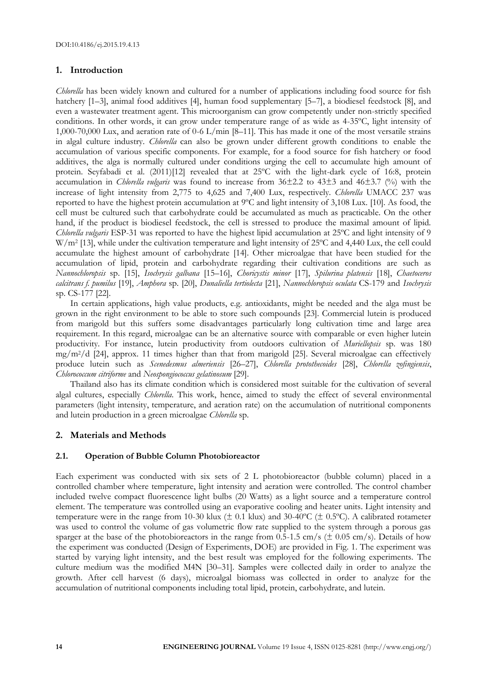# **1. Introduction**

*Chlorella* has been widely known and cultured for a number of applications including food source for fish hatchery [1–3], animal food additives [4], human food supplementary [5–7], a biodiesel feedstock [8], and even a wastewater treatment agent. This microorganism can grow competently under non-strictly specified conditions. In other words, it can grow under temperature range of as wide as 4-35ºC, light intensity of 1,000-70,000 Lux, and aeration rate of 0-6 L/min [8–11]. This has made it one of the most versatile strains in algal culture industry. *Chlorella* can also be grown under different growth conditions to enable the accumulation of various specific components. For example, for a food source for fish hatchery or food additives, the alga is normally cultured under conditions urging the cell to accumulate high amount of protein. Seyfabadi et al. (2011)[12] revealed that at 25ºC with the light-dark cycle of 16:8, protein accumulation in *Chlorella vulgaris* was found to increase from 36±2.2 to 43±3 and 46±3.7 (%) with the increase of light intensity from 2,775 to 4,625 and 7,400 Lux, respectively. *Chlorella* UMACC 237 was reported to have the highest protein accumulation at 9ºC and light intensity of 3,108 Lux. [10]. As food, the cell must be cultured such that carbohydrate could be accumulated as much as practicable. On the other hand, if the product is biodiesel feedstock, the cell is stressed to produce the maximal amount of lipid. *Chlorella vulgaris* ESP-31 was reported to have the highest lipid accumulation at 25ºC and light intensity of 9 W/m<sup>2</sup> [13], while under the cultivation temperature and light intensity of 25°C and 4,440 Lux, the cell could accumulate the highest amount of carbohydrate [14]. Other microalgae that have been studied for the accumulation of lipid, protein and carbohydrate regarding their cultivation conditions are such as *Nannochloropsis* sp. [15], *Isochrysis galbana* [15–16], *Choricystis minor* [17], *Spilurina platensis* [18], *Chaetoceros calcitrans f. pumilus* [19], *Amphora* sp. [20], *Dunaliella tertiolecta* [21], *Nannochloropsis oculata* CS-179 and *Isochrysis* sp. CS-177 [22].

In certain applications, high value products, e.g. antioxidants, might be needed and the alga must be grown in the right environment to be able to store such compounds [23]. Commercial lutein is produced from marigold but this suffers some disadvantages particularly long cultivation time and large area requirement. In this regard, microalgae can be an alternative source with comparable or even higher lutein productivity. For instance, lutein productivity from outdoors cultivation of *Muriellopsis* sp. was 180  $mg/m^2/d$  [24], approx. 11 times higher than that from marigold [25]. Several microalgae can effectively produce lutein such as *Scenedesmus almeriensis* [26–27], *Chlorella protothecoides* [28], *Chlorella zofingiensis*, *Chlorococcum citriforme* and *Neospongiococcus gelatinosum* [29].

Thailand also has its climate condition which is considered most suitable for the cultivation of several algal cultures, especially *Chlorella*. This work, hence, aimed to study the effect of several environmental parameters (light intensity, temperature, and aeration rate) on the accumulation of nutritional components and lutein production in a green microalgae *Chlorella* sp.

# **2. Materials and Methods**

# **2.1. Operation of Bubble Column Photobioreactor**

Each experiment was conducted with six sets of 2 L photobioreactor (bubble column) placed in a controlled chamber where temperature, light intensity and aeration were controlled. The control chamber included twelve compact fluorescence light bulbs (20 Watts) as a light source and a temperature control element. The temperature was controlled using an evaporative cooling and heater units. Light intensity and temperature were in the range from 10-30 klux ( $\pm$  0.1 klux) and 30-40°C ( $\pm$  0.5°C). A calibrated rotameter was used to control the volume of gas volumetric flow rate supplied to the system through a porous gas sparger at the base of the photobioreactors in the range from 0.5-1.5 cm/s ( $\pm$  0.05 cm/s). Details of how the experiment was conducted (Design of Experiments, DOE) are provided in Fig. 1. The experiment was started by varying light intensity, and the best result was employed for the following experiments. The culture medium was the modified M4N [30–31]. Samples were collected daily in order to analyze the growth. After cell harvest (6 days), microalgal biomass was collected in order to analyze for the accumulation of nutritional components including total lipid, protein, carbohydrate, and lutein.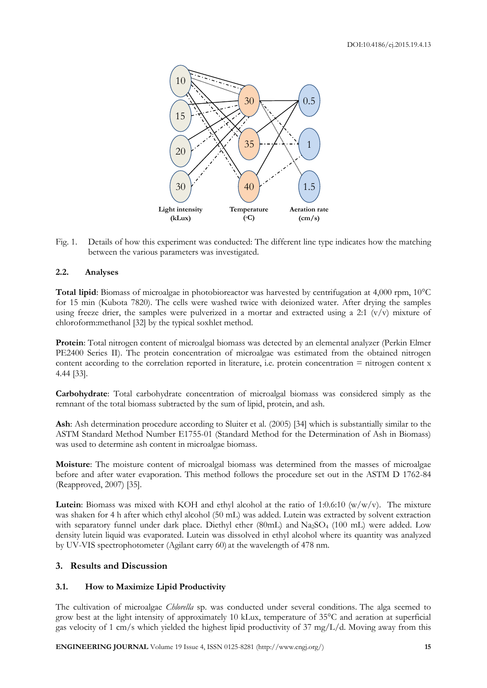

Fig. 1. Details of how this experiment was conducted: The different line type indicates how the matching between the various parameters was investigated.

# **2.2. Analyses**

**Total lipid**: Biomass of microalgae in photobioreactor was harvested by centrifugation at 4,000 rpm, 10°C for 15 min (Kubota 7820). The cells were washed twice with deionized water. After drying the samples using freeze drier, the samples were pulverized in a mortar and extracted using a 2:1  $(v/v)$  mixture of chloroform:methanol [32] by the typical soxhlet method.

**Protein**: Total nitrogen content of microalgal biomass was detected by an elemental analyzer (Perkin Elmer PE2400 Series II). The protein concentration of microalgae was estimated from the obtained nitrogen content according to the correlation reported in literature, i.e. protein concentration = nitrogen content x 4.44 [33].

**Carbohydrate**: Total carbohydrate concentration of microalgal biomass was considered simply as the remnant of the total biomass subtracted by the sum of lipid, protein, and ash.

**Ash**: Ash determination procedure according to Sluiter et al. (2005) [34] which is substantially similar to the ASTM Standard Method Number E1755-01 (Standard Method for the Determination of Ash in Biomass) was used to determine ash content in microalgae biomass.

**Moisture**: The moisture content of microalgal biomass was determined from the masses of microalgae before and after water evaporation. This method follows the procedure set out in the ASTM D 1762-84 (Reapproved, 2007) [35].

**Lutein**: Biomass was mixed with KOH and ethyl alcohol at the ratio of 1:0.6:10 (w/w/v). The mixture was shaken for 4 h after which ethyl alcohol (50 mL) was added. Lutein was extracted by solvent extraction with separatory funnel under dark place. Diethyl ether (80mL) and Na<sub>2</sub>SO<sub>4</sub> (100 mL) were added. Low density lutein liquid was evaporated. Lutein was dissolved in ethyl alcohol where its quantity was analyzed by UV-VIS spectrophotometer (Agilant carry 60) at the wavelength of 478 nm.

## **3. Results and Discussion**

#### **3.1. How to Maximize Lipid Productivity**

The cultivation of microalgae *Chlorella* sp. was conducted under several conditions. The alga seemed to grow best at the light intensity of approximately 10 kLux, temperature of 35°C and aeration at superficial gas velocity of 1 cm/s which yielded the highest lipid productivity of 37 mg/L/d. Moving away from this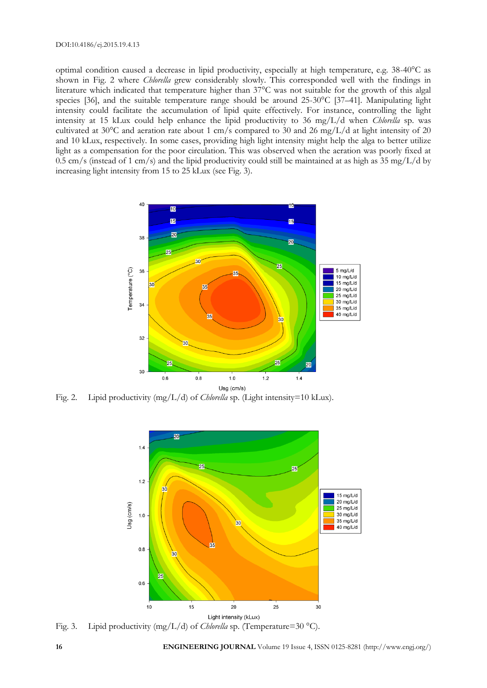optimal condition caused a decrease in lipid productivity, especially at high temperature, e.g. 38-40°C as shown in Fig. 2 where *Chlorella* grew considerably slowly. This corresponded well with the findings in literature which indicated that temperature higher than 37°C was not suitable for the growth of this algal species [36], and the suitable temperature range should be around 25-30<sup>o</sup>C [37–41]. Manipulating light intensity could facilitate the accumulation of lipid quite effectively. For instance, controlling the light intensity at 15 kLux could help enhance the lipid productivity to 36 mg/L/d when *Chlorella* sp. was cultivated at 30°C and aeration rate about 1 cm/s compared to 30 and 26 mg/L/d at light intensity of 20 and 10 kLux, respectively. In some cases, providing high light intensity might help the alga to better utilize light as a compensation for the poor circulation. This was observed when the aeration was poorly fixed at 0.5 cm/s (instead of 1 cm/s) and the lipid productivity could still be maintained at as high as 35 mg/L/d by increasing light intensity from 15 to 25 kLux (see Fig. 3).



Fig. 2. Lipid productivity (mg/L/d) of *Chlorella* sp. (Light intensity=10 kLux).



Fig. 3. Lipid productivity (mg/L/d) of *Chlorella* sp. (Temperature=30 °C).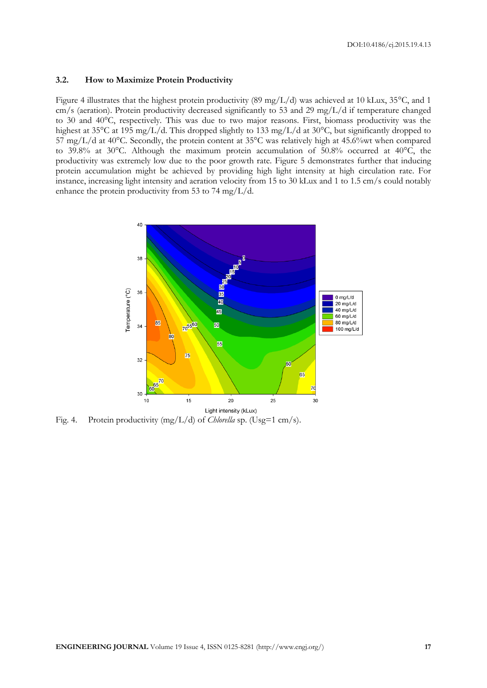#### **3.2. How to Maximize Protein Productivity**

Figure 4 illustrates that the highest protein productivity (89 mg/L/d) was achieved at 10 kLux, 35 $^{\circ}$ C, and 1 cm/s (aeration). Protein productivity decreased significantly to 53 and 29 mg/L/d if temperature changed to 30 and 40°C, respectively. This was due to two major reasons. First, biomass productivity was the highest at 35°C at 195 mg/L/d. This dropped slightly to 133 mg/L/d at 30°C, but significantly dropped to 57 mg/L/d at 40°C. Secondly, the protein content at 35°C was relatively high at 45.6%wt when compared to 39.8% at 30°C. Although the maximum protein accumulation of 50.8% occurred at 40°C, the productivity was extremely low due to the poor growth rate. Figure 5 demonstrates further that inducing protein accumulation might be achieved by providing high light intensity at high circulation rate. For instance, increasing light intensity and aeration velocity from 15 to 30 kLux and 1 to 1.5 cm/s could notably enhance the protein productivity from 53 to 74 mg/L/d.



Fig. 4. Protein productivity (mg/L/d) of *Chlorella* sp. (Usg=1 cm/s).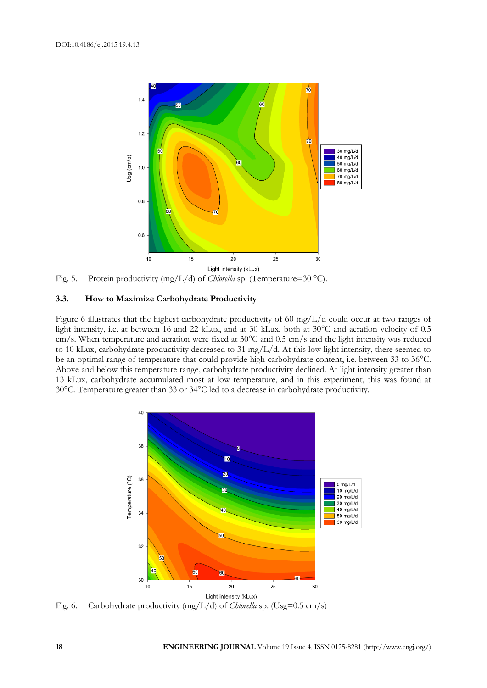

Fig. 5. Protein productivity (mg/L/d) of *Chlorella* sp. (Temperature=30 °C).

#### **3.3. How to Maximize Carbohydrate Productivity**

Figure 6 illustrates that the highest carbohydrate productivity of 60 mg/L/d could occur at two ranges of light intensity, i.e. at between 16 and 22 kLux, and at 30 kLux, both at 30°C and aeration velocity of 0.5 cm/s. When temperature and aeration were fixed at  $30^{\circ}$ C and 0.5 cm/s and the light intensity was reduced to 10 kLux, carbohydrate productivity decreased to 31 mg/L/d. At this low light intensity, there seemed to be an optimal range of temperature that could provide high carbohydrate content, i.e. between 33 to 36°C. Above and below this temperature range, carbohydrate productivity declined. At light intensity greater than 13 kLux, carbohydrate accumulated most at low temperature, and in this experiment, this was found at 30°C. Temperature greater than 33 or 34°C led to a decrease in carbohydrate productivity.



Fig. 6. Carbohydrate productivity (mg/L/d) of *Chlorella* sp. (Usg=0.5 cm/s)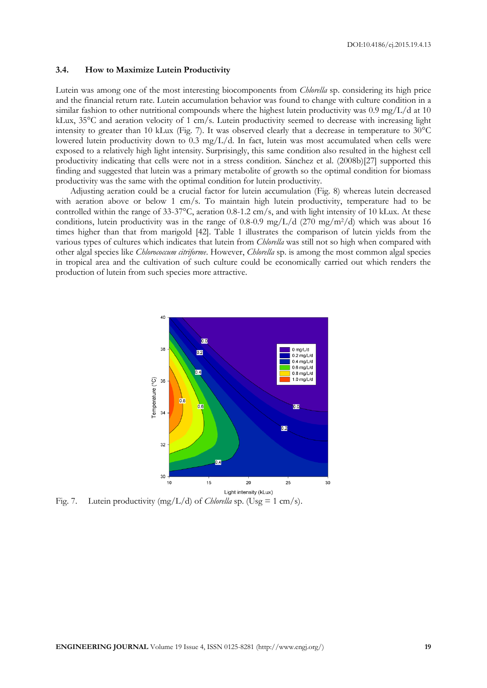#### **3.4. How to Maximize Lutein Productivity**

Lutein was among one of the most interesting biocomponents from *Chlorella* sp. considering its high price and the financial return rate. Lutein accumulation behavior was found to change with culture condition in a similar fashion to other nutritional compounds where the highest lutein productivity was 0.9 mg/L/d at 10 kLux, 35°C and aeration velocity of 1 cm/s. Lutein productivity seemed to decrease with increasing light intensity to greater than 10 kLux (Fig. 7). It was observed clearly that a decrease in temperature to 30°C lowered lutein productivity down to 0.3 mg/L/d. In fact, lutein was most accumulated when cells were exposed to a relatively high light intensity. Surprisingly, this same condition also resulted in the highest cell productivity indicating that cells were not in a stress condition. Sánchez et al. (2008b)[27] supported this finding and suggested that lutein was a primary metabolite of growth so the optimal condition for biomass productivity was the same with the optimal condition for lutein productivity.

Adjusting aeration could be a crucial factor for lutein accumulation (Fig. 8) whereas lutein decreased with aeration above or below 1 cm/s. To maintain high lutein productivity, temperature had to be controlled within the range of 33-37°C, aeration 0.8-1.2 cm/s, and with light intensity of 10 kLux. At these conditions, lutein productivity was in the range of 0.8-0.9 mg/L/d (270 mg/m<sup>2</sup>/d) which was about 16 times higher than that from marigold [42]. Table 1 illustrates the comparison of lutein yields from the various types of cultures which indicates that lutein from *Chlorella* was still not so high when compared with other algal species like *Chlorococcum citriforme*. However, *Chlorella* sp. is among the most common algal species in tropical area and the cultivation of such culture could be economically carried out which renders the production of lutein from such species more attractive.



Fig. 7. Lutein productivity (mg/L/d) of *Chlorella* sp. (Usg = 1 cm/s).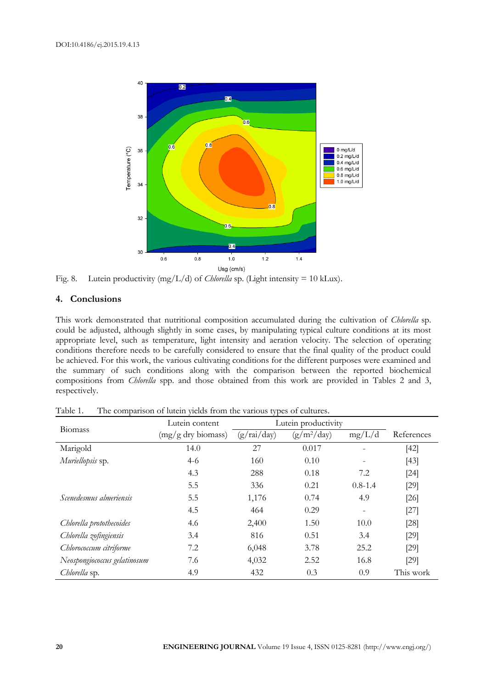

Fig. 8. Lutein productivity (mg/L/d) of *Chlorella* sp. (Light intensity = 10 kLux).

## **4. Conclusions**

This work demonstrated that nutritional composition accumulated during the cultivation of *Chlorella* sp. could be adjusted, although slightly in some cases, by manipulating typical culture conditions at its most appropriate level, such as temperature, light intensity and aeration velocity. The selection of operating conditions therefore needs to be carefully considered to ensure that the final quality of the product could be achieved. For this work, the various cultivating conditions for the different purposes were examined and the summary of such conditions along with the comparison between the reported biochemical compositions from *Chlorella* spp. and those obtained from this work are provided in Tables 2 and 3, respectively.

Table 1. The comparison of lutein yields from the various types of cultures.

|                              | Lutein content             |                              | Lutein productivity |             |            |
|------------------------------|----------------------------|------------------------------|---------------------|-------------|------------|
| <b>Biomass</b>               | $(mg/g \, dry \, biomass)$ | $(g/m^2/day)$<br>(g/rai/day) |                     | mg/L/d      | References |
| Marigold                     | 14.0                       | 27                           | 0.017               |             | $[42]$     |
| Muriellopsis sp.             | $4-6$                      | 160                          | 0.10                |             | $[43]$     |
|                              | 4.3                        | 288                          | 0.18                | 7.2         | $[24]$     |
|                              | 5.5                        | 336                          | 0.21                | $0.8 - 1.4$ | $[29]$     |
| Scenedesmus almeriensis      | 5.5                        | 1,176                        | 0.74                | 4.9         | $[26]$     |
|                              | 4.5                        | 464                          | 0.29                |             | $[27]$     |
| Chlorella protothecoides     | 4.6                        | 2,400                        | 1.50                | 10.0        | $[28]$     |
| Chlorella zofingiensis       | 3.4                        | 816                          | 0.51                | 3.4         | $[29]$     |
| Chlorococcum citriforme      | 7.2                        | 6,048                        | 3.78                | 25.2        | $[29]$     |
| Neospongiococcus gelatinosum | 7.6                        | 4,032                        | 2.52                | 16.8        | $[29]$     |
| Chlorella sp.                | 4.9                        | 432                          | 0.3                 | 0.9         | This work  |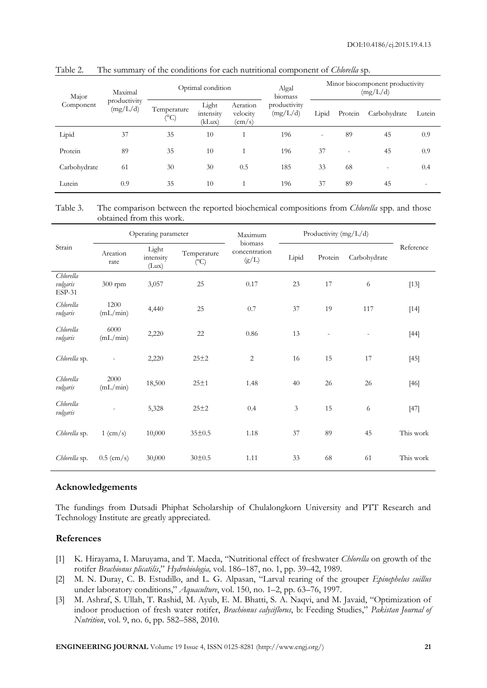| Major<br>Component | Maximal<br>productivity<br>(mg/L/d) | Optimal condition   |                              |                                         | Algal<br>biomass         | Minor biocomponent productivity<br>(mg/L/d) |         |                          |        |
|--------------------|-------------------------------------|---------------------|------------------------------|-----------------------------------------|--------------------------|---------------------------------------------|---------|--------------------------|--------|
|                    |                                     | Temperature<br>(°C) | Light<br>intensity<br>(kLux) | Aeration<br>velocity<br>$\text{(cm/s)}$ | productivity<br>(mg/L/d) | Lipid                                       | Protein | Carbohydrate             | Lutein |
| Lipid              | 37                                  | 35                  | 10                           |                                         | 196                      | $\overline{\phantom{a}}$                    | 89      | 45                       | 0.9    |
| Protein            | 89                                  | 35                  | 10                           |                                         | 196                      | 37                                          |         | 45                       | 0.9    |
| Carbohydrate       | 61                                  | 30                  | 30                           | 0.5                                     | 185                      | 33                                          | 68      | $\overline{\phantom{0}}$ | 0.4    |
| Lutein             | 0.9                                 | 35                  | 10                           |                                         | 196                      | 37                                          | 89      | 45                       |        |

Table 2. The summary of the conditions for each nutritional component of *Chlorella* sp.

Table 3. The comparison between the reported biochemical compositions from *Chlorella* spp. and those obtained from this work.

| Strain                            | Operating parameter |                             |                    | Maximum<br>biomass       | Productivity (mg/L/d) |         |              |           |
|-----------------------------------|---------------------|-----------------------------|--------------------|--------------------------|-----------------------|---------|--------------|-----------|
|                                   | Areation<br>rate    | Light<br>intensity<br>(Lux) | Temperature<br>(C) | concentration<br>$(g/L)$ | Lipid                 | Protein | Carbohydrate | Reference |
| Chlorella<br>vulgaris<br>$ESP-31$ | $300$ rpm           | 3,057                       | 25                 | 0.17                     | 23                    | 17      | 6            | $[13]$    |
| Chlorella<br>vulgaris             | 1200<br>(mL/min)    | 4,440                       | 25                 | 0.7                      | 37                    | 19      | 117          | $[14]$    |
| Chlorella<br>vulgaris             | 6000<br>(mL/min)    | 2,220                       | 22                 | $0.86\,$                 | 13                    |         |              | $[44]$    |
| Chlorella sp.                     |                     | 2,220                       | $25 \pm 2$         | $\overline{2}$           | 16                    | 15      | 17           | $[45]$    |
| Chlorella<br>vulgaris             | 2000<br>(mL/min)    | 18,500                      | $25 + 1$           | 1.48                     | 40                    | 26      | 26           | $[46]$    |
| Chlorella<br>vulgaris             |                     | 5,328                       | $25 + 2$           | 0.4                      | $\mathfrak{Z}$        | 15      | 6            | $[47]$    |
| Chlorella sp.                     | $1 \text{ (cm/s)}$  | 10,000                      | 35±0.5             | 1.18                     | 37                    | 89      | 45           | This work |
| Chlorella sp.                     | $0.5$ (cm/s)        | 30,000                      | 30±0.5             | 1.11                     | 33                    | 68      | 61           | This work |

#### **Acknowledgements**

The fundings from Dutsadi Phiphat Scholarship of Chulalongkorn University and PTT Research and Technology Institute are greatly appreciated.

#### **References**

- [1] K. Hirayama, I. Maruyama, and T. Maeda, "Nutritional effect of freshwater *Chlorella* on growth of the rotifer *Brachionus plicatilis*," *Hydrobiologia,* vol. 186–187, no. 1, pp. 39–42, 1989.
- [2] M. N. Duray, C. B. Estudillo, and L. G. Alpasan, "Larval rearing of the grouper *Epinephelus suillus* under laboratory conditions," *Aquaculture*, vol. 150, no. 1–2, pp. 63–76, 1997.
- [3] M. Ashraf, S. Ullah, T. Rashid, M. Ayub, E. M. Bhatti, S. A. Naqvi, and M. Javaid, "Optimization of indoor production of fresh water rotifer, *Brachionus calyciflorus*, b: Feeding Studies," *Pakistan Journal of Nutrition*, vol. 9, no. 6, pp. 582–588, 2010.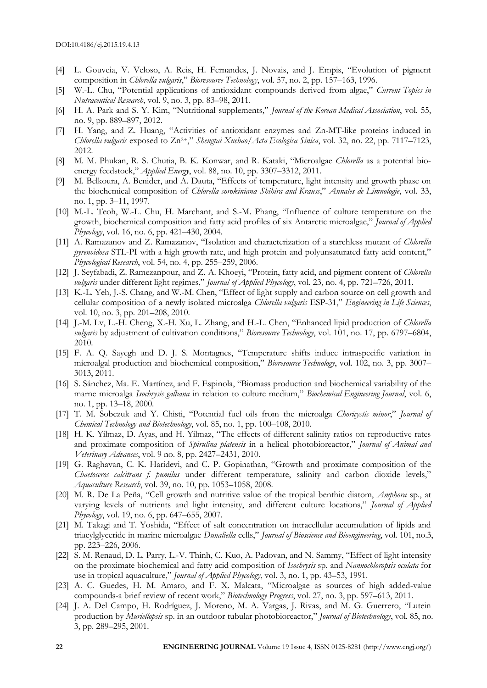- [4] L. Gouveia, V. Veloso, A. Reis, H. Fernandes, J. Novais, and J. Empis, "Evolution of pigment composition in *Chlorella vulgaris*," *Bioresource Technology*, vol. 57, no. 2, pp. 157–163, 1996.
- [5] W.-L. Chu, "Potential applications of antioxidant compounds derived from algae," *Current Topics in Nutraceutical Research*, vol. 9, no. 3, pp. 83–98, 2011.
- [6] H. A. Park and S. Y. Kim, "Nutritional supplements," *Journal of the Korean Medical Association*, vol. 55, no. 9, pp. 889–897, 2012.
- [7] H. Yang, and Z. Huang, "Activities of antioxidant enzymes and Zn-MT-like proteins induced in *Chlorella vulgaris* exposed to Zn2+," *Shengtai Xuebao/Acta Ecologica Sinica*, vol. 32, no. 22, pp. 7117–7123, 2012.
- [8] M. M. Phukan, R. S. Chutia, B. K. Konwar, and R. Kataki, "Microalgae *Chlorella* as a potential bioenergy feedstock," *Applied Energy*, vol. 88, no. 10, pp. 3307–3312, 2011.
- [9] M. Belkoura, A. Benider, and A. Dauta, "Effects of temperature, light intensity and growth phase on the biochemical composition of *Chlorella sorokiniana Shihira and Krauss*," *Annales de Limnologie*, vol. 33, no. 1, pp. 3–11, 1997.
- [10] M.-L. Teoh, W.-L. Chu, H. Marchant, and S.-M. Phang, "Influence of culture temperature on the growth, biochemical composition and fatty acid profiles of six Antarctic microalgae," *Journal of Applied Phycology*, vol. 16, no. 6, pp. 421–430, 2004.
- [11] A. Ramazanov and Z. Ramazanov, "Isolation and characterization of a starchless mutant of *Chlorella pyrenoidosa* STL-PI with a high growth rate, and high protein and polyunsaturated fatty acid content," *Phycological Research*, vol. 54, no. 4, pp. 255–259, 2006.
- [12] J. Seyfabadi, Z. Ramezanpour, and Z. A. Khoeyi, "Protein, fatty acid, and pigment content of *Chlorella vulgaris* under different light regimes," *Journal of Applied Phycology*, vol. 23, no. 4, pp. 721–726, 2011.
- [13] K.-L. Yeh, J.-S. Chang, and W.-M. Chen, "Effect of light supply and carbon source on cell growth and cellular composition of a newly isolated microalga *Chlorella vulgaris* ESP-31," *Engineering in Life Sciences*, vol. 10, no. 3, pp. 201–208, 2010.
- [14] J.-M. Lv, L.-H. Cheng, X.-H. Xu, L. Zhang, and H.-L. Chen, "Enhanced lipid production of *Chlorella vulgaris* by adjustment of cultivation conditions," *Bioresource Technology*, vol. 101, no. 17, pp. 6797–6804, 2010.
- [15] F. A. Q. Sayegh and D. J. S. Montagnes, "Temperature shifts induce intraspecific variation in microalgal production and biochemical composition," *Bioresource Technology*, vol. 102, no. 3, pp. 3007– 3013, 2011.
- [16] S. Sánchez, Ma. E. Martínez, and F. Espinola, "Biomass production and biochemical variability of the marne microalga *Isochrysis galbana* in relation to culture medium," *Biochemical Engineering Journal*, vol. 6, no. 1, pp. 13–18, 2000.
- [17] T. M. Sobczuk and Y. Chisti, "Potential fuel oils from the microalga *Choricystis minor*," *Journal of Chemical Technology and Biotechnology*, vol. 85, no. 1, pp. 100–108, 2010.
- [18] H. K. Yilmaz, D. Ayas, and H. Yilmaz, "The effects of different salinity ratios on reproductive rates and proximate composition of *Spirulina platensis* in a helical photobioreactor," *Journal of Animal and Veterinary Advances*, vol. 9 no. 8, pp. 2427–2431, 2010.
- [19] G. Raghavan, C. K. Haridevi, and C. P. Gopinathan, "Growth and proximate composition of the *Chaetoceros calcitrans f. pumilus* under different temperature, salinity and carbon dioxide levels," *Aquaculture Research*, vol. 39, no. 10, pp. 1053–1058, 2008.
- [20] M. R. De La Peña, "Cell growth and nutritive value of the tropical benthic diatom, *Amphora* sp., at varying levels of nutrients and light intensity, and different culture locations," *Journal of Applied Phycology*, vol. 19, no. 6, pp. 647–655, 2007.
- [21] M. Takagi and T. Yoshida, "Effect of salt concentration on intracellular accumulation of lipids and triacylglyceride in marine microalgae *Dunaliella* cells," *Journal of Bioscience and Bioengineering*, vol. 101, no.3, pp. 223–226, 2006.
- [22] S. M. Renaud, D. L. Parry, L.-V. Thinh, C. Kuo, A. Padovan, and N. Sammy, "Effect of light intensity on the proximate biochemical and fatty acid composition of *Isochrysis* sp. and *Nannochloropsis oculata* for use in tropical aquaculture," *Journal of Applied Phycology*, vol. 3, no. 1, pp. 43–53, 1991.
- [23] A. C. Guedes, H. M. Amaro, and F. X. Malcata, "Microalgae as sources of high added-value compounds-a brief review of recent work," *Biotechnology Progress*, vol. 27, no. 3, pp. 597–613, 2011.
- [24] J. A. Del Campo, H. Rodríguez, J. Moreno, M. A. Vargas, J. Rivas, and M. G. Guerrero, "Lutein production by *Muriellopsis* sp. in an outdoor tubular photobioreactor," *Journal of Biotechnology*, vol. 85, no. 3, pp. 289–295, 2001.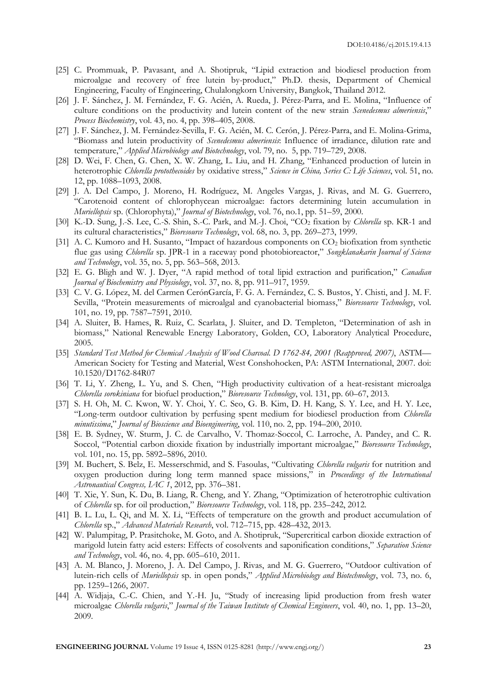- [25] C. Prommuak, P. Pavasant, and A. Shotipruk, "Lipid extraction and biodiesel production from microalgae and recovery of free lutein by-product," Ph.D. thesis, Department of Chemical Engineering, Faculty of Engineering, Chulalongkorn University, Bangkok, Thailand 2012.
- [26] J. F. Sánchez, J. M. Fernández, F. G. Acién, A. Rueda, J. Pérez-Parra, and E. Molina, "Influence of culture conditions on the productivity and lutein content of the new strain *Scenedesmus almeriensis*," *Process Biochemistry*, vol. 43, no. 4, pp. 398–405, 2008.
- [27] J. F. Sánchez, J. M. Fernández-Sevilla, F. G. Acién, M. C. Cerón, J. Pérez-Parra, and E. Molina-Grima, "Biomass and lutein productivity of *Scenedesmus almeriensis*: Influence of irradiance, dilution rate and temperature," *Applied Microbiology and Biotechnology*, vol. 79, no. 5, pp. 719–729, 2008.
- [28] D. Wei, F. Chen, G. Chen, X. W. Zhang, L. Liu, and H. Zhang, "Enhanced production of lutein in heterotrophic *Chlorella protothecoides* by oxidative stress," *Science in China, Series C: Life Sciences*, vol. 51, no. 12, pp. 1088–1093, 2008.
- [29] J. A. Del Campo, J. Moreno, H. Rodríguez, M. Angeles Vargas, J. Rivas, and M. G. Guerrero, "Carotenoid content of chlorophycean microalgae: factors determining lutein accumulation in *Muriellopsis* sp. (Chlorophyta)," *Journal of Biotechnology*, vol. 76, no.1, pp. 51–59, 2000.
- [30] K.-D. Sung, J.-S. Lee, C.-S. Shin, S.-C. Park, and M.-J. Choi, "CO<sup>2</sup> fixation by *Chlorella* sp. KR-1 and its cultural characteristics," *Bioresource Technology*, vol. 68, no. 3, pp. 269–273, 1999.
- [31] A. C. Kumoro and H. Susanto, "Impact of hazardous components on CO<sub>2</sub> biofixation from synthetic flue gas using *Chlorella* sp. JPR-1 in a raceway pond photobioreactor," *Songklanakarin Journal of Science and Technology*, vol. 35, no. 5, pp. 563–568, 2013.
- [32] E. G. Bligh and W. J. Dyer, "A rapid method of total lipid extraction and purification," *Canadian Journal of Biochemistry and Physiology*, vol. 37, no. 8, pp. 911–917, 1959.
- [33] C. V. G. López, M. del Carmen CerónGarcía, F. G. A. Fernández, C. S. Bustos, Y. Chisti, and J. M. F. Sevilla, "Protein measurements of microalgal and cyanobacterial biomass," *Bioresource Technology*, vol. 101, no. 19, pp. 7587–7591, 2010.
- [34] A. Sluiter, B. Hames, R. Ruiz, C. Scarlata, J. Sluiter, and D. Templeton, "Determination of ash in biomass," National Renewable Energy Laboratory, Golden, CO, Laboratory Analytical Procedure, 2005.
- [35] *Standard Test Method for Chemical Analysis of Wood Charcoal. D 1762-84, 2001 (Reapproved, 2007)*, ASTM— American Society for Testing and Material, West Conshohocken, PA: ASTM International, 2007. doi: 10.1520/D1762-84R07
- [36] T. Li, Y. Zheng, L. Yu, and S. Chen, "High productivity cultivation of a heat-resistant microalga *Chlorella sorokiniana* for biofuel production," *Bioresource Technology*, vol. 131, pp. 60–67, 2013.
- [37] S. H. Oh, M. C. Kwon, W. Y. Choi, Y. C. Seo, G. B. Kim, D. H. Kang, S. Y. Lee, and H. Y. Lee, "Long-term outdoor cultivation by perfusing spent medium for biodiesel production from *Chlorella minutissima*," *Journal of Bioscience and Bioengineering*, vol. 110, no. 2, pp. 194–200, 2010.
- [38] E. B. Sydney, W. Sturm, J. C. de Carvalho, V. Thomaz-Soccol, C. Larroche, A. Pandey, and C. R. Soccol, "Potential carbon dioxide fixation by industrially important microalgae," *Bioresource Technology*, vol. 101, no. 15, pp. 5892–5896, 2010.
- [39] M. Buchert, S. Belz, E. Messerschmid, and S. Fasoulas, "Cultivating *Chlorella vulgaris* for nutrition and oxygen production during long term manned space missions," in *Proceedings of the International Astronautical Congress, IAC 1*, 2012, pp. 376–381.
- [40] T. Xie, Y. Sun, K. Du, B. Liang, R. Cheng, and Y. Zhang, "Optimization of heterotrophic cultivation of *Chlorella* sp. for oil production," *Bioresource Technology*, vol. 118, pp. 235–242, 2012.
- [41] B. L. Lu, L. Qi, and M. X. Li, "Effects of temperature on the growth and product accumulation of *Chlorella* sp.," *Advanced Materials Research*, vol. 712–715, pp. 428–432, 2013.
- [42] W. Palumpitag, P. Prasitchoke, M. Goto, and A. Shotipruk, "Supercritical carbon dioxide extraction of marigold lutein fatty acid esters: Effects of cosolvents and saponification conditions," *Separation Science and Technology*, vol. 46, no. 4, pp. 605–610, 2011.
- [43] A. M. Blanco, J. Moreno, J. A. Del Campo, J. Rivas, and M. G. Guerrero, "Outdoor cultivation of lutein-rich cells of *Muriellopsis* sp. in open ponds," *Applied Microbiology and Biotechnology*, vol. 73, no. 6, pp. 1259–1266, 2007.
- [44] A. Widjaja, C.-C. Chien, and Y.-H. Ju, "Study of increasing lipid production from fresh water microalgae *Chlorella vulgaris*," *Journal of the Taiwan Institute of Chemical Engineers*, vol. 40, no. 1, pp. 13–20, 2009.